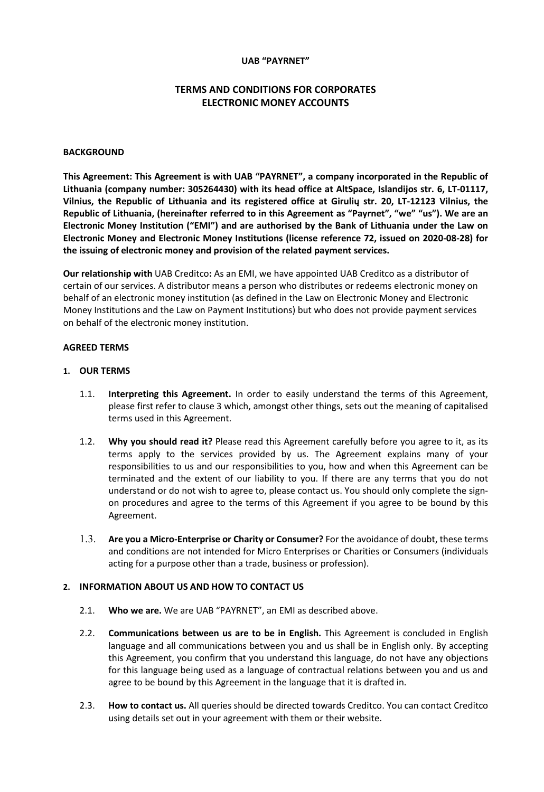### **UAB "PAYRNET"**

# **TERMS AND CONDITIONS FOR CORPORATES ELECTRONIC MONEY ACCOUNTS**

#### **BACKGROUND**

**This Agreement: This Agreement is with UAB "PAYRNET", a company incorporated in the Republic of Lithuania (company number: 305264430) with its head office at AltSpace, Islandijos str. 6, LT-01117, Vilnius, the Republic of Lithuania and its registered office at Girulių str. 20, LT-12123 Vilnius, the Republic of Lithuania, (hereinafter referred to in this Agreement as "Payrnet", "we" "us"). We are an Electronic Money Institution ("EMI") and are authorised by the Bank of Lithuania under the Law on Electronic Money and Electronic Money Institutions (license reference 72, issued on 2020-08-28) for the issuing of electronic money and provision of the related payment services.**

**Our relationship with** UAB Creditco**:** As an EMI, we have appointed UAB Creditco as a distributor of certain of our services. A distributor means a person who distributes or redeems electronic money on behalf of an electronic money institution (as defined in the Law on Electronic Money and Electronic Money Institutions and the Law on Payment Institutions) but who does not provide payment services on behalf of the electronic money institution.

#### **AGREED TERMS**

#### **1. OUR TERMS**

- 1.1. **Interpreting this Agreement.** In order to easily understand the terms of this Agreement, please first refer to clause 3 which, amongst other things, sets out the meaning of capitalised terms used in this Agreement.
- 1.2. **Why you should read it?** Please read this Agreement carefully before you agree to it, as its terms apply to the services provided by us. The Agreement explains many of your responsibilities to us and our responsibilities to you, how and when this Agreement can be terminated and the extent of our liability to you. If there are any terms that you do not understand or do not wish to agree to, please contact us. You should only complete the signon procedures and agree to the terms of this Agreement if you agree to be bound by this Agreement.
- 1.3. **Are you a Micro-Enterprise or Charity or Consumer?** For the avoidance of doubt, these terms and conditions are not intended for Micro Enterprises or Charities or Consumers (individuals acting for a purpose other than a trade, business or profession).

#### **2. INFORMATION ABOUT US AND HOW TO CONTACT US**

- 2.1. **Who we are.** We are UAB "PAYRNET", an EMI as described above.
- 2.2. **Communications between us are to be in English.** This Agreement is concluded in English language and all communications between you and us shall be in English only. By accepting this Agreement, you confirm that you understand this language, do not have any objections for this language being used as a language of contractual relations between you and us and agree to be bound by this Agreement in the language that it is drafted in.
- 2.3. **How to contact us.** All queries should be directed towards Creditco. You can contact Creditco using details set out in your agreement with them or their website.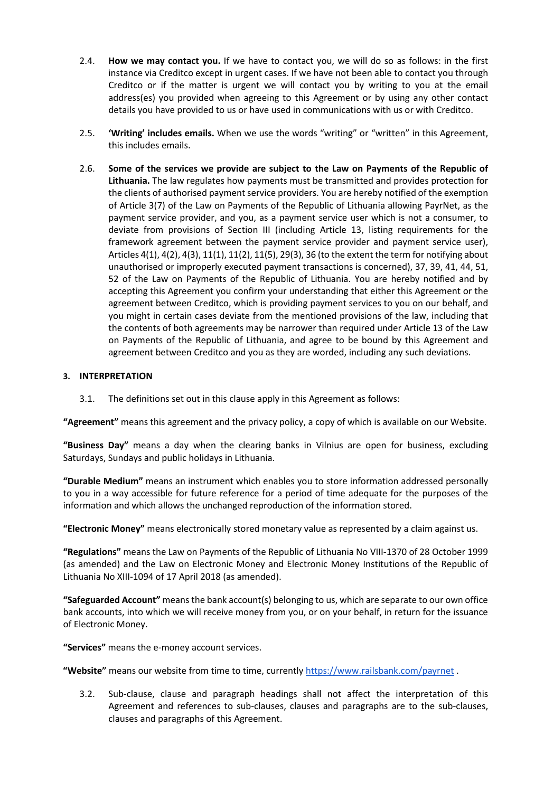- 2.4. **How we may contact you.** If we have to contact you, we will do so as follows: in the first instance via Creditco except in urgent cases. If we have not been able to contact you through Creditco or if the matter is urgent we will contact you by writing to you at the email address(es) you provided when agreeing to this Agreement or by using any other contact details you have provided to us or have used in communications with us or with Creditco.
- 2.5. **'Writing' includes emails.** When we use the words "writing" or "written" in this Agreement, this includes emails.
- 2.6. **Some of the services we provide are subject to the Law on Payments of the Republic of Lithuania.** The law regulates how payments must be transmitted and provides protection for the clients of authorised payment service providers. You are hereby notified of the exemption of Article 3(7) of the Law on Payments of the Republic of Lithuania allowing PayrNet, as the payment service provider, and you, as a payment service user which is not a consumer, to deviate from provisions of Section III (including Article 13, listing requirements for the framework agreement between the payment service provider and payment service user), Articles 4(1), 4(2), 4(3), 11(1), 11(2), 11(5), 29(3), 36 (to the extent the term for notifying about unauthorised or improperly executed payment transactions is concerned), 37, 39, 41, 44, 51, 52 of the Law on Payments of the Republic of Lithuania. You are hereby notified and by accepting this Agreement you confirm your understanding that either this Agreement or the agreement between Creditco, which is providing payment services to you on our behalf, and you might in certain cases deviate from the mentioned provisions of the law, including that the contents of both agreements may be narrower than required under Article 13 of the Law on Payments of the Republic of Lithuania, and agree to be bound by this Agreement and agreement between Creditco and you as they are worded, including any such deviations.

## **3. INTERPRETATION**

3.1. The definitions set out in this clause apply in this Agreement as follows:

**"Agreement"** means this agreement and the privacy policy, a copy of which is available on our Website.

**"Business Day"** means a day when the clearing banks in Vilnius are open for business, excluding Saturdays, Sundays and public holidays in Lithuania.

**"Durable Medium"** means an instrument which enables you to store information addressed personally to you in a way accessible for future reference for a period of time adequate for the purposes of the information and which allows the unchanged reproduction of the information stored.

**"Electronic Money"** means electronically stored monetary value as represented by a claim against us.

**"Regulations"** means the Law on Payments of the Republic of Lithuania No VIII-1370 of 28 October 1999 (as amended) and the Law on Electronic Money and Electronic Money Institutions of the Republic of Lithuania No XIII-1094 of 17 April 2018 (as amended).

**"Safeguarded Account"** means the bank account(s) belonging to us, which are separate to our own office bank accounts, into which we will receive money from you, or on your behalf, in return for the issuance of Electronic Money.

**"Services"** means the e-money account services.

**"Website"** means our website from time to time, currentl[y https://www.railsbank.com/payrnet](https://www.railsbank.com/payrnet) .

3.2. Sub-clause, clause and paragraph headings shall not affect the interpretation of this Agreement and references to sub-clauses, clauses and paragraphs are to the sub-clauses, clauses and paragraphs of this Agreement.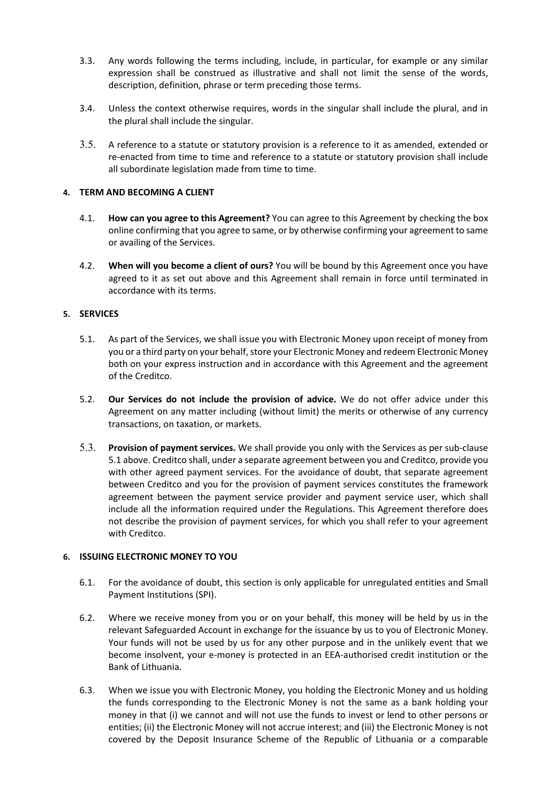- 3.3. Any words following the terms including, include, in particular, for example or any similar expression shall be construed as illustrative and shall not limit the sense of the words, description, definition, phrase or term preceding those terms.
- 3.4. Unless the context otherwise requires, words in the singular shall include the plural, and in the plural shall include the singular.
- 3.5. A reference to a statute or statutory provision is a reference to it as amended, extended or re-enacted from time to time and reference to a statute or statutory provision shall include all subordinate legislation made from time to time.

### **4. TERM AND BECOMING A CLIENT**

- 4.1. **How can you agree to this Agreement?** You can agree to this Agreement by checking the box online confirming that you agree to same, or by otherwise confirming your agreement to same or availing of the Services.
- 4.2. **When will you become a client of ours?** You will be bound by this Agreement once you have agreed to it as set out above and this Agreement shall remain in force until terminated in accordance with its terms.

### **5. SERVICES**

- 5.1. As part of the Services, we shall issue you with Electronic Money upon receipt of money from you or a third party on your behalf, store your Electronic Money and redeem Electronic Money both on your express instruction and in accordance with this Agreement and the agreement of the Creditco.
- 5.2. **Our Services do not include the provision of advice.** We do not offer advice under this Agreement on any matter including (without limit) the merits or otherwise of any currency transactions, on taxation, or markets.
- 5.3. **Provision of payment services.** We shall provide you only with the Services as per sub-clause 5.1 above. Creditco shall, under a separate agreement between you and Creditco, provide you with other agreed payment services. For the avoidance of doubt, that separate agreement between Creditco and you for the provision of payment services constitutes the framework agreement between the payment service provider and payment service user, which shall include all the information required under the Regulations. This Agreement therefore does not describe the provision of payment services, for which you shall refer to your agreement with Creditco.

## **6. ISSUING ELECTRONIC MONEY TO YOU**

- 6.1. For the avoidance of doubt, this section is only applicable for unregulated entities and Small Payment Institutions (SPI).
- 6.2. Where we receive money from you or on your behalf, this money will be held by us in the relevant Safeguarded Account in exchange for the issuance by us to you of Electronic Money. Your funds will not be used by us for any other purpose and in the unlikely event that we become insolvent, your e-money is protected in an EEA-authorised credit institution or the Bank of Lithuania.
- 6.3. When we issue you with Electronic Money, you holding the Electronic Money and us holding the funds corresponding to the Electronic Money is not the same as a bank holding your money in that (i) we cannot and will not use the funds to invest or lend to other persons or entities; (ii) the Electronic Money will not accrue interest; and (iii) the Electronic Money is not covered by the Deposit Insurance Scheme of the Republic of Lithuania or a comparable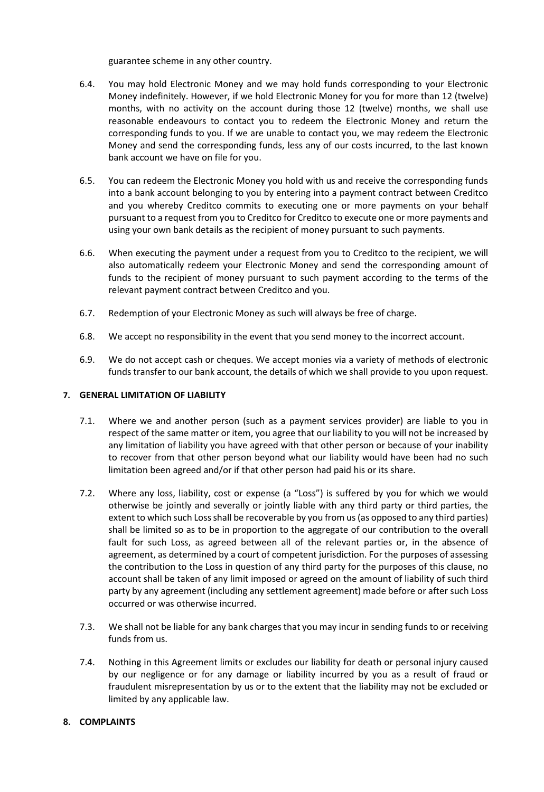guarantee scheme in any other country.

- 6.4. You may hold Electronic Money and we may hold funds corresponding to your Electronic Money indefinitely. However, if we hold Electronic Money for you for more than 12 (twelve) months, with no activity on the account during those 12 (twelve) months, we shall use reasonable endeavours to contact you to redeem the Electronic Money and return the corresponding funds to you. If we are unable to contact you, we may redeem the Electronic Money and send the corresponding funds, less any of our costs incurred, to the last known bank account we have on file for you.
- 6.5. You can redeem the Electronic Money you hold with us and receive the corresponding funds into a bank account belonging to you by entering into a payment contract between Creditco and you whereby Creditco commits to executing one or more payments on your behalf pursuant to a request from you to Creditco for Creditco to execute one or more payments and using your own bank details as the recipient of money pursuant to such payments.
- 6.6. When executing the payment under a request from you to Creditco to the recipient, we will also automatically redeem your Electronic Money and send the corresponding amount of funds to the recipient of money pursuant to such payment according to the terms of the relevant payment contract between Creditco and you.
- 6.7. Redemption of your Electronic Money as such will always be free of charge.
- 6.8. We accept no responsibility in the event that you send money to the incorrect account.
- 6.9. We do not accept cash or cheques. We accept monies via a variety of methods of electronic funds transfer to our bank account, the details of which we shall provide to you upon request.

## **7. GENERAL LIMITATION OF LIABILITY**

- 7.1. Where we and another person (such as a payment services provider) are liable to you in respect of the same matter or item, you agree that our liability to you will not be increased by any limitation of liability you have agreed with that other person or because of your inability to recover from that other person beyond what our liability would have been had no such limitation been agreed and/or if that other person had paid his or its share.
- 7.2. Where any loss, liability, cost or expense (a "Loss") is suffered by you for which we would otherwise be jointly and severally or jointly liable with any third party or third parties, the extent to which such Loss shall be recoverable by you from us (as opposed to any third parties) shall be limited so as to be in proportion to the aggregate of our contribution to the overall fault for such Loss, as agreed between all of the relevant parties or, in the absence of agreement, as determined by a court of competent jurisdiction. For the purposes of assessing the contribution to the Loss in question of any third party for the purposes of this clause, no account shall be taken of any limit imposed or agreed on the amount of liability of such third party by any agreement (including any settlement agreement) made before or after such Loss occurred or was otherwise incurred.
- 7.3. We shall not be liable for any bank charges that you may incur in sending funds to or receiving funds from us.
- 7.4. Nothing in this Agreement limits or excludes our liability for death or personal injury caused by our negligence or for any damage or liability incurred by you as a result of fraud or fraudulent misrepresentation by us or to the extent that the liability may not be excluded or limited by any applicable law.

## **8. COMPLAINTS**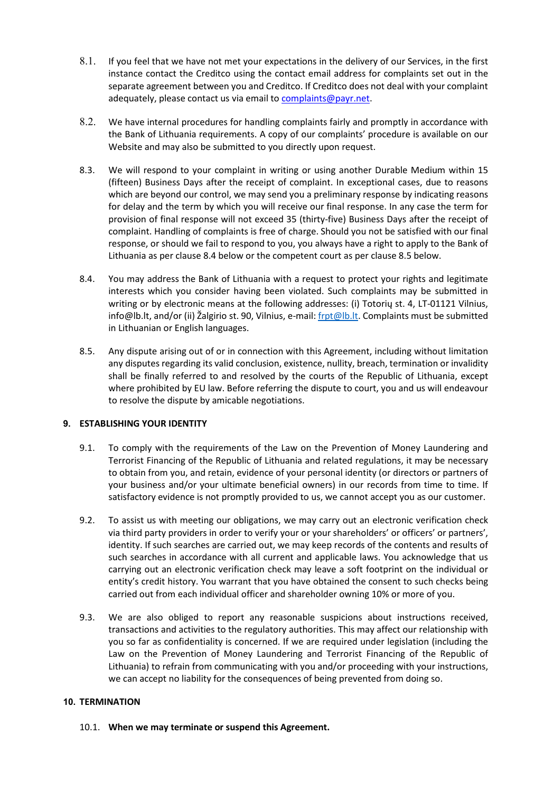- 8.1. If you feel that we have not met your expectations in the delivery of our Services, in the first instance contact the Creditco using the contact email address for complaints set out in the separate agreement between you and Creditco. If Creditco does not deal with your complaint adequately, please contact us via email to complaints@payr.net.
- 8.2. We have internal procedures for handling complaints fairly and promptly in accordance with the Bank of Lithuania requirements. A copy of our complaints' procedure is available on our Website and may also be submitted to you directly upon request.
- 8.3. We will respond to your complaint in writing or using another Durable Medium within 15 (fifteen) Business Days after the receipt of complaint. In exceptional cases, due to reasons which are beyond our control, we may send you a preliminary response by indicating reasons for delay and the term by which you will receive our final response. In any case the term for provision of final response will not exceed 35 (thirty-five) Business Days after the receipt of complaint. Handling of complaints is free of charge. Should you not be satisfied with our final response, or should we fail to respond to you, you always have a right to apply to the Bank of Lithuania as per clause 8.4 below or the competent court as per clause 8.5 below.
- 8.4. You may address the Bank of Lithuania with a request to protect your rights and legitimate interests which you consider having been violated. Such complaints may be submitted in writing or by electronic means at the following addresses: (i) Totorių st. 4, LT-01121 Vilnius, info@lb.lt, and/or (ii) Žalgirio st. 90, Vilnius, e-mail: [frpt@lb.lt.](mailto:frpt@lb.lt) Complaints must be submitted in Lithuanian or English languages.
- 8.5. Any dispute arising out of or in connection with this Agreement, including without limitation any disputes regarding its valid conclusion, existence, nullity, breach, termination or invalidity shall be finally referred to and resolved by the courts of the Republic of Lithuania, except where prohibited by EU law. Before referring the dispute to court, you and us will endeavour to resolve the dispute by amicable negotiations.

## **9. ESTABLISHING YOUR IDENTITY**

- 9.1. To comply with the requirements of the Law on the Prevention of Money Laundering and Terrorist Financing of the Republic of Lithuania and related regulations, it may be necessary to obtain from you, and retain, evidence of your personal identity (or directors or partners of your business and/or your ultimate beneficial owners) in our records from time to time. If satisfactory evidence is not promptly provided to us, we cannot accept you as our customer.
- 9.2. To assist us with meeting our obligations, we may carry out an electronic verification check via third party providers in order to verify your or your shareholders' or officers' or partners', identity. If such searches are carried out, we may keep records of the contents and results of such searches in accordance with all current and applicable laws. You acknowledge that us carrying out an electronic verification check may leave a soft footprint on the individual or entity's credit history. You warrant that you have obtained the consent to such checks being carried out from each individual officer and shareholder owning 10% or more of you.
- 9.3. We are also obliged to report any reasonable suspicions about instructions received, transactions and activities to the regulatory authorities. This may affect our relationship with you so far as confidentiality is concerned. If we are required under legislation (including the Law on the Prevention of Money Laundering and Terrorist Financing of the Republic of Lithuania) to refrain from communicating with you and/or proceeding with your instructions, we can accept no liability for the consequences of being prevented from doing so.

## **10. TERMINATION**

10.1. **When we may terminate or suspend this Agreement.**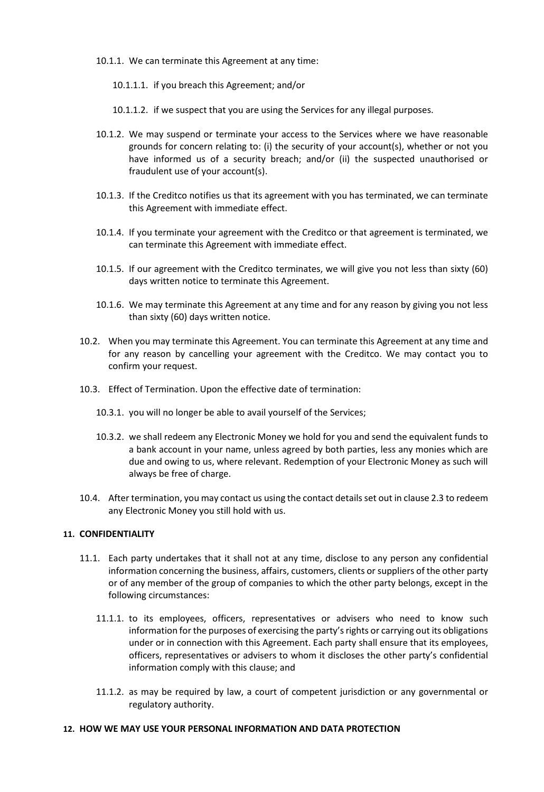- 10.1.1. We can terminate this Agreement at any time:
	- 10.1.1.1. if you breach this Agreement; and/or
	- 10.1.1.2. if we suspect that you are using the Services for any illegal purposes.
- 10.1.2. We may suspend or terminate your access to the Services where we have reasonable grounds for concern relating to: (i) the security of your account(s), whether or not you have informed us of a security breach; and/or (ii) the suspected unauthorised or fraudulent use of your account(s).
- 10.1.3. If the Creditco notifies us that its agreement with you has terminated, we can terminate this Agreement with immediate effect.
- 10.1.4. If you terminate your agreement with the Creditco or that agreement is terminated, we can terminate this Agreement with immediate effect.
- 10.1.5. If our agreement with the Creditco terminates, we will give you not less than sixty (60) days written notice to terminate this Agreement.
- 10.1.6. We may terminate this Agreement at any time and for any reason by giving you not less than sixty (60) days written notice.
- 10.2. When you may terminate this Agreement. You can terminate this Agreement at any time and for any reason by cancelling your agreement with the Creditco. We may contact you to confirm your request.
- 10.3. Effect of Termination. Upon the effective date of termination:
	- 10.3.1. you will no longer be able to avail yourself of the Services;
	- 10.3.2. we shall redeem any Electronic Money we hold for you and send the equivalent funds to a bank account in your name, unless agreed by both parties, less any monies which are due and owing to us, where relevant. Redemption of your Electronic Money as such will always be free of charge.
- 10.4. After termination, you may contact us using the contact details set out in clause 2.3 to redeem any Electronic Money you still hold with us.

#### **11. CONFIDENTIALITY**

- 11.1. Each party undertakes that it shall not at any time, disclose to any person any confidential information concerning the business, affairs, customers, clients or suppliers of the other party or of any member of the group of companies to which the other party belongs, except in the following circumstances:
	- 11.1.1. to its employees, officers, representatives or advisers who need to know such information for the purposes of exercising the party's rights or carrying out its obligations under or in connection with this Agreement. Each party shall ensure that its employees, officers, representatives or advisers to whom it discloses the other party's confidential information comply with this clause; and
	- 11.1.2. as may be required by law, a court of competent jurisdiction or any governmental or regulatory authority.

#### **12. HOW WE MAY USE YOUR PERSONAL INFORMATION AND DATA PROTECTION**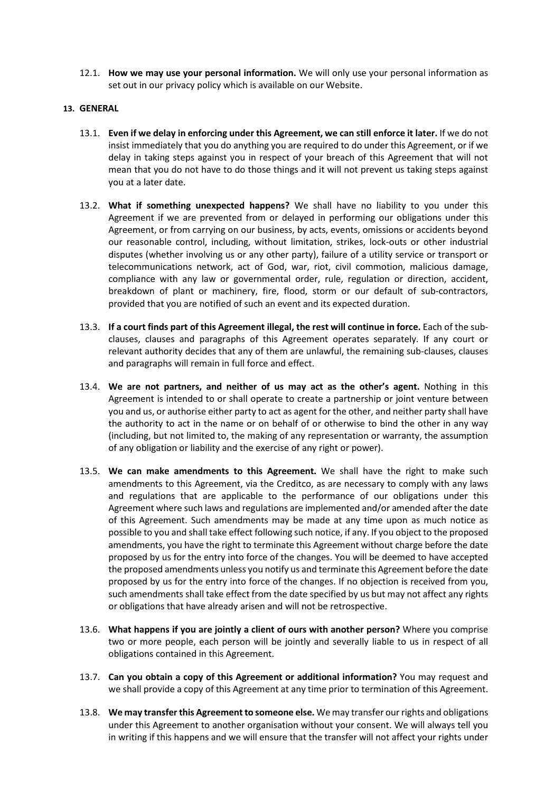12.1. **How we may use your personal information.** We will only use your personal information as set out in our privacy policy which is available on our Website.

### **13. GENERAL**

- 13.1. **Even if we delay in enforcing under this Agreement, we can still enforce it later.** If we do not insist immediately that you do anything you are required to do under this Agreement, or if we delay in taking steps against you in respect of your breach of this Agreement that will not mean that you do not have to do those things and it will not prevent us taking steps against you at a later date.
- 13.2. **What if something unexpected happens?** We shall have no liability to you under this Agreement if we are prevented from or delayed in performing our obligations under this Agreement, or from carrying on our business, by acts, events, omissions or accidents beyond our reasonable control, including, without limitation, strikes, lock-outs or other industrial disputes (whether involving us or any other party), failure of a utility service or transport or telecommunications network, act of God, war, riot, civil commotion, malicious damage, compliance with any law or governmental order, rule, regulation or direction, accident, breakdown of plant or machinery, fire, flood, storm or our default of sub-contractors, provided that you are notified of such an event and its expected duration.
- 13.3. **If a court finds part of this Agreement illegal, the rest will continue in force.** Each of the subclauses, clauses and paragraphs of this Agreement operates separately. If any court or relevant authority decides that any of them are unlawful, the remaining sub-clauses, clauses and paragraphs will remain in full force and effect.
- 13.4. **We are not partners, and neither of us may act as the other's agent.** Nothing in this Agreement is intended to or shall operate to create a partnership or joint venture between you and us, or authorise either party to act as agent for the other, and neither party shall have the authority to act in the name or on behalf of or otherwise to bind the other in any way (including, but not limited to, the making of any representation or warranty, the assumption of any obligation or liability and the exercise of any right or power).
- 13.5. **We can make amendments to this Agreement.** We shall have the right to make such amendments to this Agreement, via the Creditco, as are necessary to comply with any laws and regulations that are applicable to the performance of our obligations under this Agreement where such laws and regulations are implemented and/or amended after the date of this Agreement. Such amendments may be made at any time upon as much notice as possible to you and shall take effect following such notice, if any. If you object to the proposed amendments, you have the right to terminate this Agreement without charge before the date proposed by us for the entry into force of the changes. You will be deemed to have accepted the proposed amendments unless you notify us and terminate this Agreement before the date proposed by us for the entry into force of the changes. If no objection is received from you, such amendments shall take effect from the date specified by us but may not affect any rights or obligations that have already arisen and will not be retrospective.
- 13.6. **What happens if you are jointly a client of ours with another person?** Where you comprise two or more people, each person will be jointly and severally liable to us in respect of all obligations contained in this Agreement.
- 13.7. **Can you obtain a copy of this Agreement or additional information?** You may request and we shall provide a copy of this Agreement at any time prior to termination of this Agreement.
- 13.8. **We may transfer this Agreement to someone else.** We may transfer our rights and obligations under this Agreement to another organisation without your consent. We will always tell you in writing if this happens and we will ensure that the transfer will not affect your rights under